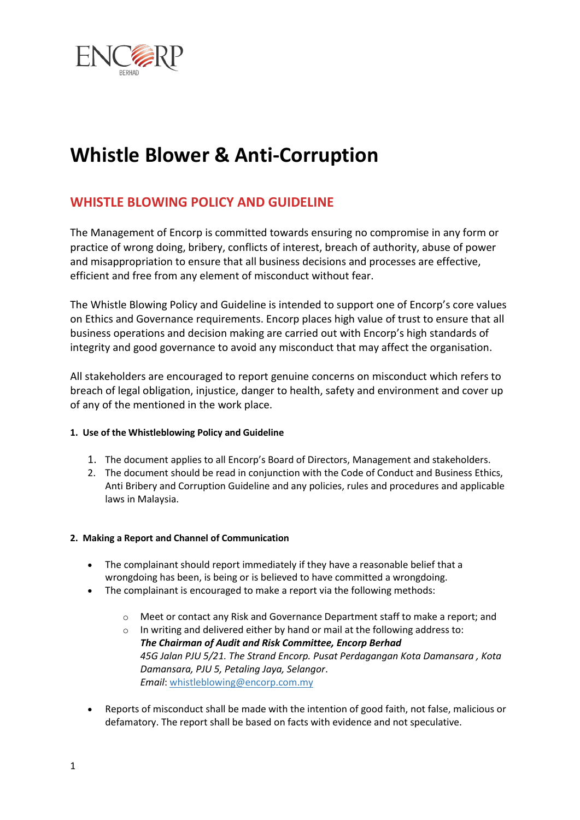

# **Whistle Blower & Anti-Corruption**

# **WHISTLE BLOWING POLICY AND GUIDELINE**

The Management of Encorp is committed towards ensuring no compromise in any form or practice of wrong doing, bribery, conflicts of interest, breach of authority, abuse of power and misappropriation to ensure that all business decisions and processes are effective, efficient and free from any element of misconduct without fear.

The Whistle Blowing Policy and Guideline is intended to support one of Encorp's core values on Ethics and Governance requirements. Encorp places high value of trust to ensure that all business operations and decision making are carried out with Encorp's high standards of integrity and good governance to avoid any misconduct that may affect the organisation.

All stakeholders are encouraged to report genuine concerns on misconduct which refers to breach of legal obligation, injustice, danger to health, safety and environment and cover up of any of the mentioned in the work place.

# **1. Use of the Whistleblowing Policy and Guideline**

- 1. The document applies to all Encorp's Board of Directors, Management and stakeholders.
- 2. The document should be read in conjunction with the Code of Conduct and Business Ethics, Anti Bribery and Corruption Guideline and any policies, rules and procedures and applicable laws in Malaysia.

#### **2. Making a Report and Channel of Communication**

- The complainant should report immediately if they have a reasonable belief that a wrongdoing has been, is being or is believed to have committed a wrongdoing.
- The complainant is encouraged to make a report via the following methods:
	- o Meet or contact any Risk and Governance Department staff to make a report; and
	- $\circ$  In writing and delivered either by hand or mail at the following address to: *The Chairman of Audit and Risk Committee, Encorp Berhad 45G Jalan PJU 5/21. The Strand Encorp. Pusat Perdagangan Kota Damansara , Kota Damansara, PJU 5, Petaling Jaya, Selangor*. *Email*: [whistleblowing@encorp.com.my](mailto:whistleblowing@encorp.com.my)
- Reports of misconduct shall be made with the intention of good faith, not false, malicious or defamatory. The report shall be based on facts with evidence and not speculative.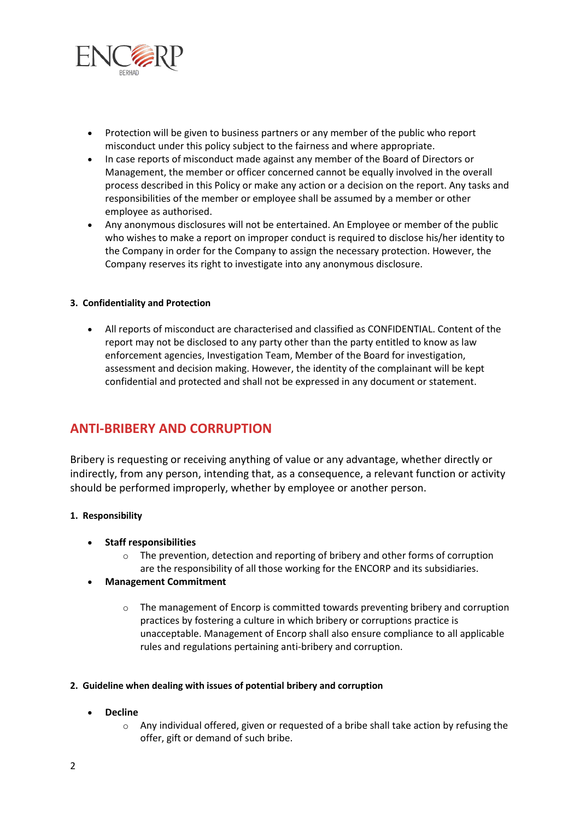

- Protection will be given to business partners or any member of the public who report misconduct under this policy subject to the fairness and where appropriate.
- In case reports of misconduct made against any member of the Board of Directors or Management, the member or officer concerned cannot be equally involved in the overall process described in this Policy or make any action or a decision on the report. Any tasks and responsibilities of the member or employee shall be assumed by a member or other employee as authorised.
- Any anonymous disclosures will not be entertained. An Employee or member of the public who wishes to make a report on improper conduct is required to disclose his/her identity to the Company in order for the Company to assign the necessary protection. However, the Company reserves its right to investigate into any anonymous disclosure.

#### **3. Confidentiality and Protection**

 All reports of misconduct are characterised and classified as CONFIDENTIAL. Content of the report may not be disclosed to any party other than the party entitled to know as law enforcement agencies, Investigation Team, Member of the Board for investigation, assessment and decision making. However, the identity of the complainant will be kept confidential and protected and shall not be expressed in any document or statement.

# **ANTI-BRIBERY AND CORRUPTION**

Bribery is requesting or receiving anything of value or any advantage, whether directly or indirectly, from any person, intending that, as a consequence, a relevant function or activity should be performed improperly, whether by employee or another person.

#### **1. Responsibility**

- **Staff responsibilities**
	- o The prevention, detection and reporting of bribery and other forms of corruption are the responsibility of all those working for the ENCORP and its subsidiaries.

#### **Management Commitment**

 $\circ$  The management of Encorp is committed towards preventing bribery and corruption practices by fostering a culture in which bribery or corruptions practice is unacceptable. Management of Encorp shall also ensure compliance to all applicable rules and regulations pertaining anti-bribery and corruption.

#### **2. Guideline when dealing with issues of potential bribery and corruption**

- **Decline**
	- $\circ$  Any individual offered, given or requested of a bribe shall take action by refusing the offer, gift or demand of such bribe.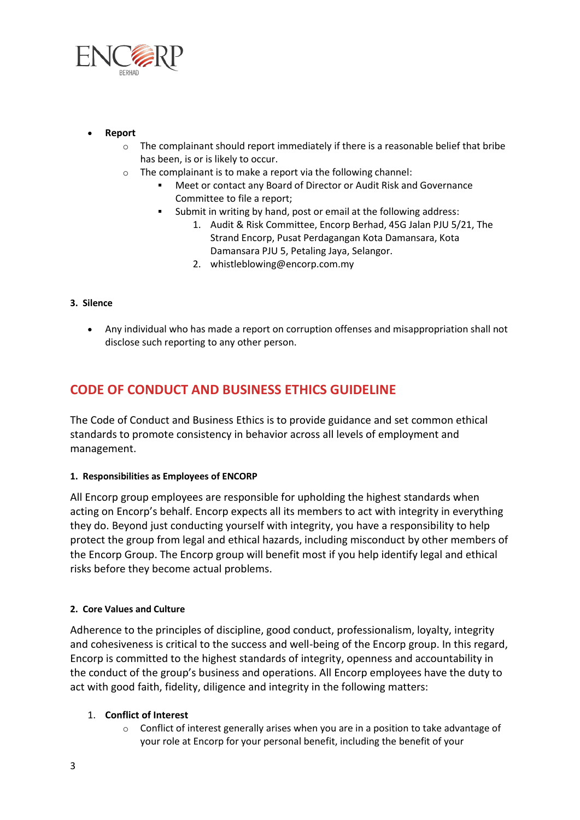

- **Report**
	- $\circ$  The complainant should report immediately if there is a reasonable belief that bribe has been, is or is likely to occur.
	- o The complainant is to make a report via the following channel:
		- Meet or contact any Board of Director or Audit Risk and Governance Committee to file a report;
		- Submit in writing by hand, post or email at the following address:
			- 1. Audit & Risk Committee, Encorp Berhad, 45G Jalan PJU 5/21, The Strand Encorp, Pusat Perdagangan Kota Damansara, Kota Damansara PJU 5, Petaling Jaya, Selangor.
			- 2. whistleblowing@encorp.com.my

- **3. Silence**
	- Any individual who has made a report on corruption offenses and misappropriation shall not disclose such reporting to any other person.

# **CODE OF CONDUCT AND BUSINESS ETHICS GUIDELINE**

The Code of Conduct and Business Ethics is to provide guidance and set common ethical standards to promote consistency in behavior across all levels of employment and management.

# **1. Responsibilities as Employees of ENCORP**

All Encorp group employees are responsible for upholding the highest standards when acting on Encorp's behalf. Encorp expects all its members to act with integrity in everything they do. Beyond just conducting yourself with integrity, you have a responsibility to help protect the group from legal and ethical hazards, including misconduct by other members of the Encorp Group. The Encorp group will benefit most if you help identify legal and ethical risks before they become actual problems.

# **2. Core Values and Culture**

Adherence to the principles of discipline, good conduct, professionalism, loyalty, integrity and cohesiveness is critical to the success and well-being of the Encorp group. In this regard, Encorp is committed to the highest standards of integrity, openness and accountability in the conduct of the group's business and operations. All Encorp employees have the duty to act with good faith, fidelity, diligence and integrity in the following matters:

# 1. **Conflict of Interest**

 $\circ$  Conflict of interest generally arises when you are in a position to take advantage of your role at Encorp for your personal benefit, including the benefit of your